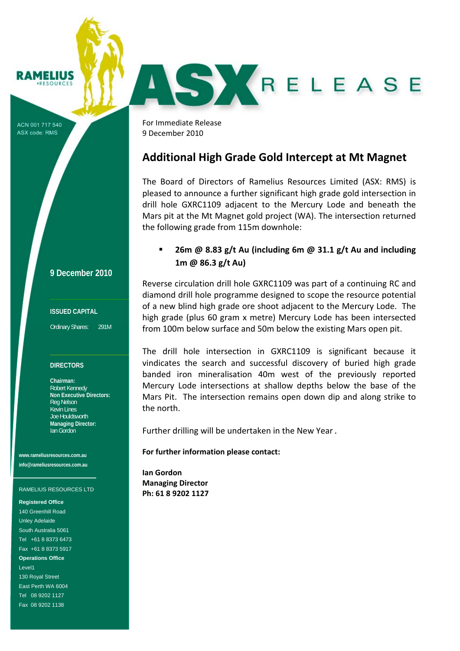# **RAMELIUS**

ACN 001 717 540 ASX code: RMS

**9 December 2010**

### **ISSUED CAPITAL**

Ordinary Shares: 291M

#### **DIRECTORS**

**Chairman:**  Robert Kennedy **Non Executive Directors:**  Reg Nelson Kevin Lines Joe Houldsworth **Managing Director:**  Ian Gordon

**www.rameliusresources.com.au info@rameliusresources.com.au** 

#### RAMELIUS RESOURCES LTD

**Registered Office** 

140 Greenhill Road Unley Adelaide South Australia 5061 Tel +61 8 8373 6473 Fax +61 8 8373 5917 **Operations Office**  Level1 130 Royal Street East Perth WA 6004 Tel 08 9202 1127 Fax 08 9202 1138

For Immediate Release  9 December 2010

## **Additional High Grade Gold Intercept at Mt Magnet**

SKRELEASE

The Board of Directors of Ramelius Resources Limited (ASX: RMS) is pleased to announce a further significant high grade gold intersection in drill hole GXRC1109 adjacent to the Mercury Lode and beneath the Mars pit at the Mt Magnet gold project (WA). The intersection returned the following grade from 115m downhole:

## **26m @ 8.83 g/t Au (including 6m @ 31.1 g/t Au and including 1m @ 86.3 g/t Au)**

Reverse circulation drill hole GXRC1109 was part of a continuing RC and diamond drill hole programme designed to scope the resource potential of a new blind high grade ore shoot adjacent to the Mercury Lode. The high grade (plus 60 gram x metre) Mercury Lode has been intersected from 100m below surface and 50m below the existing Mars open pit.

The drill hole intersection in GXRC1109 is significant because it vindicates the search and successful discovery of buried high grade banded iron mineralisation 40m west of the previously reported Mercury Lode intersections at shallow depths below the base of the Mars Pit. The intersection remains open down dip and along strike to the north.

Further drilling will be undertaken in the New Year.

### **For further information please contact:**

**Ian Gordon Managing Director Ph: 61 8 9202 1127**